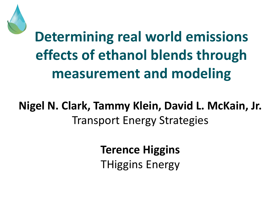

# **Determining real world emissions effects of ethanol blends through measurement and modeling**

#### **Nigel N. Clark, Tammy Klein, David L. McKain, Jr.** Transport Energy Strategies

**Terence Higgins** THiggins Energy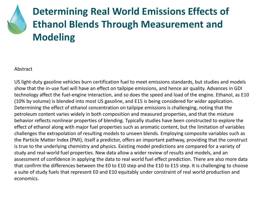#### **Determining Real World Emissions Effects of Ethanol Blends Through Measurement and Modeling**

#### Abstract

US light-duty gasoline vehicles burn certification fuel to meet emissions standards, but studies and models show that the in-use fuel will have an effect on tailpipe emissions, and hence air quality. Advances in GDI technology affect the fuel-engine interaction, and so does the speed and load of the engine. Ethanol, as E10 (10% by volume) is blended into most US gasoline, and E15 is being considered for wider application. Determining the effect of ethanol concentration on tailpipe emissions is challenging, noting that the petroleum content varies widely in both composition and measured properties, and that the mixture behavior reflects nonlinear properties of blending. Typically studies have been constructed to explore the effect of ethanol along with major fuel properties such as aromatic content, but the limitation of variables challenges the extrapolation of resulting models to unseen blends. Employing composite variables such as the Particle Matter Index (PMI), itself a predictor, offers an important pathway, providing that the construct is true to the underlying chemistry and physics. Existing model predictions are compared for a variety of study and real-world fuel properties. New data allow a wider review of results and models, and an assessment of confidence in applying the data to real world fuel effect prediction. There are also more data that confirm the differences between the E0 to E10 step and the E10 to E15 step. It is challenging to choose a suite of study fuels that represent E0 and E10 equitably under constraint of real world production and economics.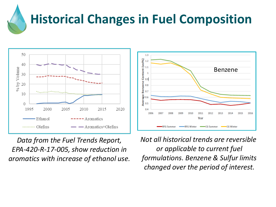# **Historical Changes in Fuel Composition**

2007

2008

**RFG Summer** 

2009

2010

∙RFG Winter



*Data from the Fuel Trends Report, EPA-420-R-17-005, show reduction in aromatics with increase of ethanol use.*  *Not all historical trends are reversible or applicable to current fuel formulations. Benzene & Sulfur limits changed over the period of interest.*

2011

Year

2012

CG Summer

2013

2014

CG Winter

2015

2016

Benzene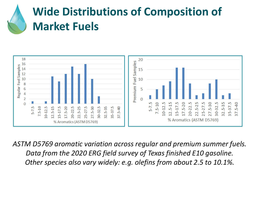#### **Wide Distributions of Composition of Market Fuels**



*ASTM D5769 aromatic variation across regular and premium summer fuels. Data from the 2020 ERG field survey of Texas finished E10 gasoline. Other species also vary widely: e.g. olefins from about 2.5 to 10.1%.*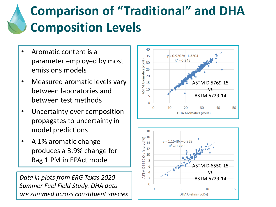# **Comparison of "Traditional" and DHA Composition Levels**

- Aromatic content is a parameter employed by most emissions models
- Measured aromatic levels vary between laboratories and between test methods
- Uncertainty over composition propagates to uncertainty in model predictions
- A 1% aromatic change produces a 3.9% change for Bag 1 PM in EPAct model

*Data in plots from ERG Texas 2020 Summer Fuel Field Study. DHA data are summed across constituent species*



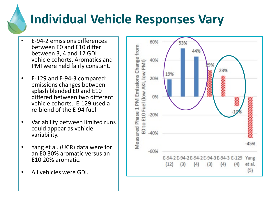# **Individual Vehicle Responses Vary**

- E-94-2 emissions differences between E0 and E10 differ between 3, 4 and 12 GDI vehicle cohorts. Aromatics and PMI were held fairly constant.
- E-129 and E-94-3 compared: emissions changes between splash blended E0 and E10 differed between two different vehicle cohorts. E-129 used a re-blend of the E-94 fuel.
- Variability between limited runs could appear as vehicle variability.
- Yang et al. (UCR) data were for an E0 30% aromatic versus an E10 20% aromatic.
- All vehicles were GDI.

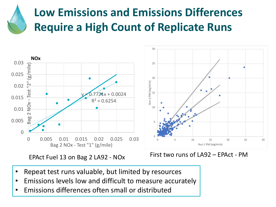#### **Low Emissions and Emissions Differences Require a High Count of Replicate Runs**



- Repeat test runs valuable, but limited by resources
- Emissions levels low and difficult to measure accurately
- Emissions differences often small or distributed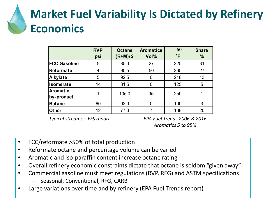## **Market Fuel Variability Is Dictated by Refinery Economics**

|                               | <b>RVP</b><br>psi | <b>Octane</b><br>$(R+M)/2$ | <b>Aromatics</b><br>Vol% | <b>T50</b><br>$^{\circ}$ F | <b>Share</b><br>% |
|-------------------------------|-------------------|----------------------------|--------------------------|----------------------------|-------------------|
| <b>FCC Gasoline</b>           | 5                 | 85.0                       | 27                       | 225                        | 31                |
| <b>Reformate</b>              | 4                 | 90.5                       | 50                       | 265                        | 27                |
| <b>Alkylate</b>               | 5                 | 92.5                       | 0                        | 218                        | 13                |
| <b>Isomerate</b>              | 14                | 81.5                       | 0                        | 125                        | 5                 |
| <b>Aromatic</b><br>by-product |                   | 105.0                      | 95                       | 250                        |                   |
| <b>Butane</b>                 | 60                | 92.0                       | 0                        | 100                        | 3                 |
| <b>Other</b>                  | 12                | 77.0                       |                          | 138                        | 20                |

*Typical streams – FFS report*

*EPA Fuel Trends 2006 & 2016 Aromatics 5 to 95%*

- FCC/reformate >50% of total production
- Reformate octane and percentage volume can be varied
- Aromatic and iso-paraffin content increase octane rating
- Overall refinery economic constraints dictate that octane is seldom "given away"
- Commercial gasoline must meet regulations (RVP, RFG) and ASTM specifications
	- Seasonal, Conventional, RFG, CARB
- Large variations over time and by refinery (EPA Fuel Trends report)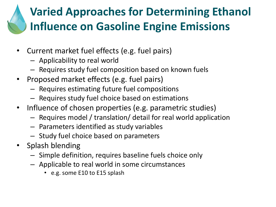#### **Varied Approaches for Determining Ethanol Influence on Gasoline Engine Emissions**

- Current market fuel effects (e.g. fuel pairs)
	- Applicability to real world
	- Requires study fuel composition based on known fuels
- Proposed market effects (e.g. fuel pairs)
	- Requires estimating future fuel compositions
	- Requires study fuel choice based on estimations
- Influence of chosen properties (e.g. parametric studies)
	- Requires model / translation/ detail for real world application
	- Parameters identified as study variables
	- Study fuel choice based on parameters
- Splash blending
	- Simple definition, requires baseline fuels choice only
	- Applicable to real world in some circumstances
		- e.g. some E10 to E15 splash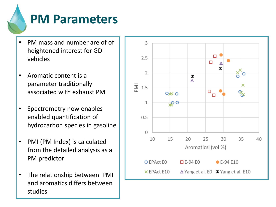# **PM Parameters**

- PM mass and number are of of heightened interest for GDI vehicles
- Aromatic content is a parameter traditionally associated with exhaust PM
- Spectrometry now enables enabled quantification of hydrocarbon species in gasoline
- PMI (PM Index) is calculated from the detailed analysis as a PM predictor
- The relationship between PMI and aromatics differs between studies

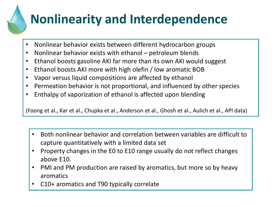# **Nonlinearity and Interdependence**

- Nonlinear behavior exists between different hydrocarbon groups
- Nonlinear behavior exists with ethanol petroleum blends
- Ethanol boosts gasoline AKI far more than its own AKI would suggest
- Ethanol boosts AKI more with high olefin / low aromatic BOB
- Vapor versus liquid compositions are affected by ethanol
- Permeation behavior is not proportional, and influenced by other species
- Enthalpy of vaporization of ethanol is affected upon blending

(Foong et al., Kar et al., Chupka et al., Anderson et al., Ghosh et al., Aulich et al., API data)

- Both nonlinear behavior and correlation between variables are difficult to capture quantitatively with a limited data set
- Property changes in the E0 to E10 range usually do not reflect changes above E10.
- PMI and PM production are raised by aromatics, but more so by heavy aromatics
- C10+ aromatics and T90 typically correlate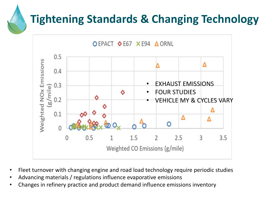### **Tightening Standards & Changing Technology**



- Fleet turnover with changing engine and road load technology require periodic studies
- Advancing materials / regulations influence evaporative emissions
- Changes in refinery practice and product demand influence emissions inventory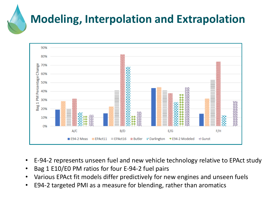### **Modeling, Interpolation and Extrapolation**



- E-94-2 represents unseen fuel and new vehicle technology relative to EPAct study
- Bag 1 E10/E0 PM ratios for four E-94-2 fuel pairs
- Various EPAct fit models differ predictively for new engines and unseen fuels
- E94-2 targeted PMI as a measure for blending, rather than aromatics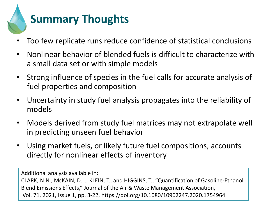

- Too few replicate runs reduce confidence of statistical conclusions
- Nonlinear behavior of blended fuels is difficult to characterize with a small data set or with simple models
- Strong influence of species in the fuel calls for accurate analysis of fuel properties and composition
- Uncertainty in study fuel analysis propagates into the reliability of models
- Models derived from study fuel matrices may not extrapolate well in predicting unseen fuel behavior
- Using market fuels, or likely future fuel compositions, accounts directly for nonlinear effects of inventory

Additional analysis available in: CLARK, N.N., McKAIN, D.L., KLEIN, T., and HIGGINS, T., "Quantification of Gasoline-Ethanol Blend Emissions Effects," Journal of the Air & Waste Management Association, Vol. 71, 2021, Issue 1, pp. 3-22, https://doi.org/10.1080/10962247.2020.1754964